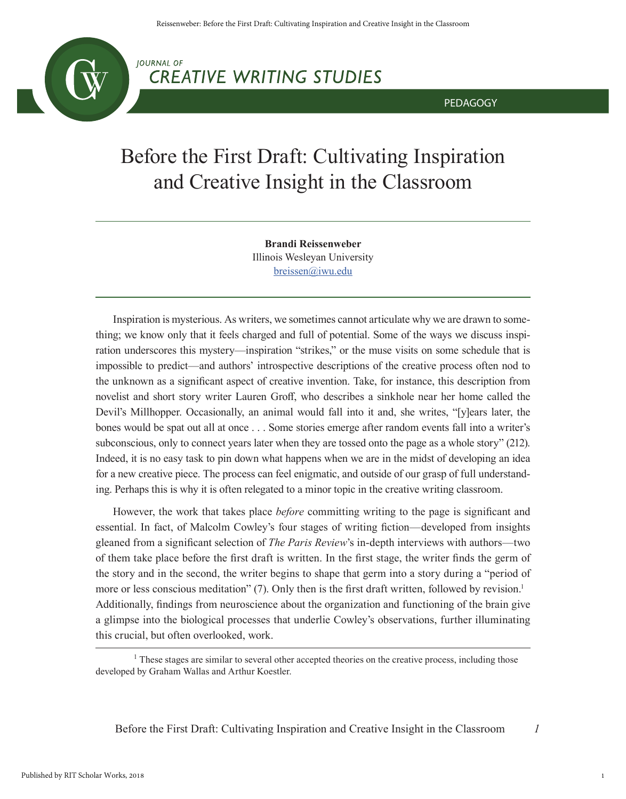

# **JOURNAL OF CREATIVE WRITING STUDIES**

PEDAGOGY

# Before the First Draft: Cultivating Inspiration and Creative Insight in the Classroom

**Brandi Reissenweber** Illinois Wesleyan University breissen@iwu.edu

Inspiration is mysterious. As writers, we sometimes cannot articulate why we are drawn to something; we know only that it feels charged and full of potential. Some of the ways we discuss inspiration underscores this mystery—inspiration "strikes," or the muse visits on some schedule that is impossible to predict—and authors' introspective descriptions of the creative process often nod to the unknown as a significant aspect of creative invention. Take, for instance, this description from novelist and short story writer Lauren Groff, who describes a sinkhole near her home called the Devil's Millhopper. Occasionally, an animal would fall into it and, she writes, "[y]ears later, the bones would be spat out all at once . . . Some stories emerge after random events fall into a writer's subconscious, only to connect years later when they are tossed onto the page as a whole story" (212). Indeed, it is no easy task to pin down what happens when we are in the midst of developing an idea for a new creative piece. The process can feel enigmatic, and outside of our grasp of full understanding. Perhaps this is why it is often relegated to a minor topic in the creative writing classroom.

However, the work that takes place *before* committing writing to the page is significant and essential. In fact, of Malcolm Cowley's four stages of writing fiction—developed from insights gleaned from a significant selection of *The Paris Review*'s in-depth interviews with authors—two of them take place before the first draft is written. In the first stage, the writer finds the germ of the story and in the second, the writer begins to shape that germ into a story during a "period of more or less conscious meditation" (7). Only then is the first draft written, followed by revision.<sup>1</sup> Additionally, findings from neuroscience about the organization and functioning of the brain give a glimpse into the biological processes that underlie Cowley's observations, further illuminating this crucial, but often overlooked, work.

<sup>&</sup>lt;sup>1</sup> These stages are similar to several other accepted theories on the creative process, including those developed by Graham Wallas and Arthur Koestler.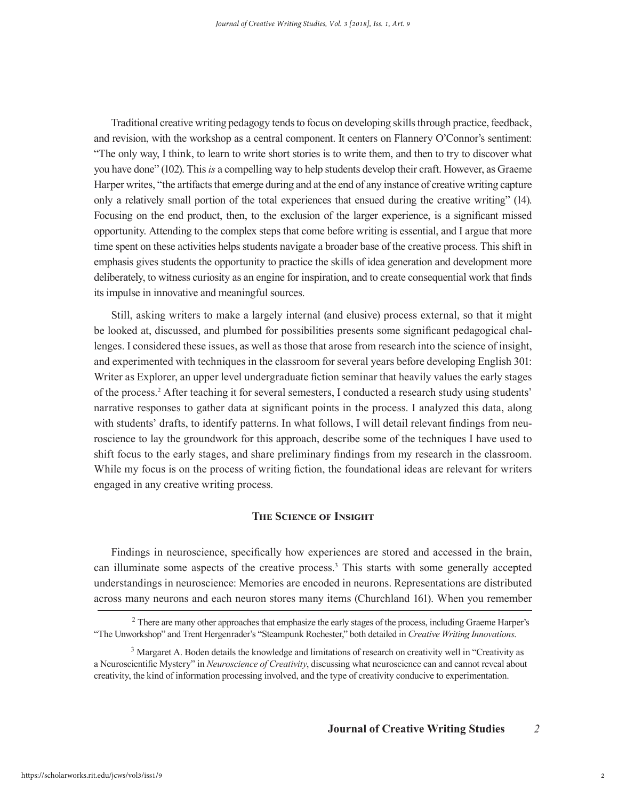Traditional creative writing pedagogy tends to focus on developing skills through practice, feedback, and revision, with the workshop as a central component. It centers on Flannery O'Connor's sentiment: "The only way, I think, to learn to write short stories is to write them, and then to try to discover what you have done" (102). This *is* a compelling way to help students develop their craft. However, as Graeme Harper writes, "the artifacts that emerge during and at the end of any instance of creative writing capture only a relatively small portion of the total experiences that ensued during the creative writing" (14). Focusing on the end product, then, to the exclusion of the larger experience, is a significant missed opportunity. Attending to the complex steps that come before writing is essential, and I argue that more time spent on these activities helps students navigate a broader base of the creative process. This shift in emphasis gives students the opportunity to practice the skills of idea generation and development more deliberately, to witness curiosity as an engine for inspiration, and to create consequential work that finds its impulse in innovative and meaningful sources.

Still, asking writers to make a largely internal (and elusive) process external, so that it might be looked at, discussed, and plumbed for possibilities presents some significant pedagogical challenges. I considered these issues, as well as those that arose from research into the science of insight, and experimented with techniques in the classroom for several years before developing English 301: Writer as Explorer, an upper level undergraduate fiction seminar that heavily values the early stages of the process.<sup>2</sup> After teaching it for several semesters, I conducted a research study using students' narrative responses to gather data at significant points in the process. I analyzed this data, along with students' drafts, to identify patterns. In what follows, I will detail relevant findings from neuroscience to lay the groundwork for this approach, describe some of the techniques I have used to shift focus to the early stages, and share preliminary findings from my research in the classroom. While my focus is on the process of writing fiction, the foundational ideas are relevant for writers engaged in any creative writing process.

# **The Science of Insight**

Findings in neuroscience, specifically how experiences are stored and accessed in the brain, can illuminate some aspects of the creative process.<sup>3</sup> This starts with some generally accepted understandings in neuroscience: Memories are encoded in neurons. Representations are distributed across many neurons and each neuron stores many items (Churchland 161). When you remember

<sup>&</sup>lt;sup>2</sup> There are many other approaches that emphasize the early stages of the process, including Graeme Harper's "The Unworkshop" and Trent Hergenrader's "Steampunk Rochester," both detailed in *Creative Writing Innovations*.

<sup>&</sup>lt;sup>3</sup> Margaret A. Boden details the knowledge and limitations of research on creativity well in "Creativity as a Neuroscientific Mystery" in *Neuroscience of Creativity*, discussing what neuroscience can and cannot reveal about creativity, the kind of information processing involved, and the type of creativity conducive to experimentation.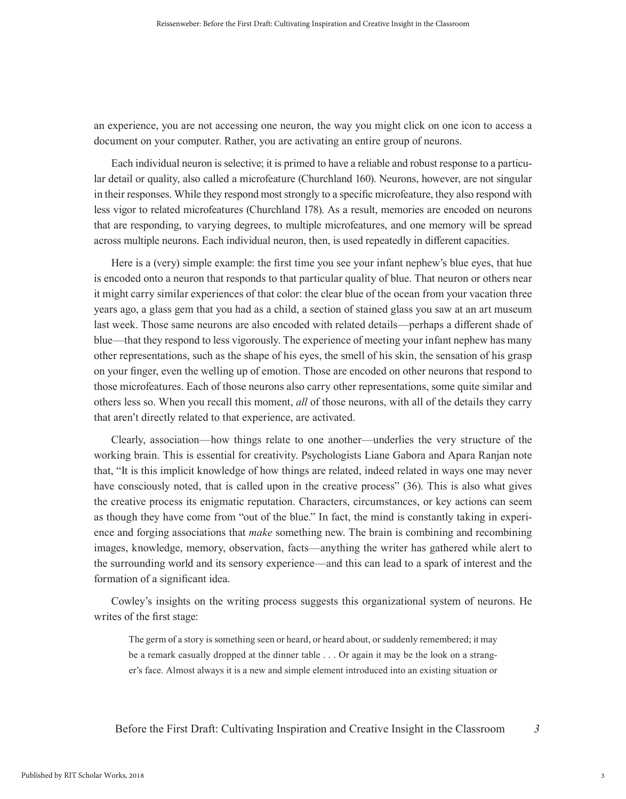an experience, you are not accessing one neuron, the way you might click on one icon to access a document on your computer. Rather, you are activating an entire group of neurons.

Each individual neuron is selective; it is primed to have a reliable and robust response to a particular detail or quality, also called a microfeature (Churchland 160). Neurons, however, are not singular in their responses. While they respond most strongly to a specific microfeature, they also respond with less vigor to related microfeatures (Churchland 178). As a result, memories are encoded on neurons that are responding, to varying degrees, to multiple microfeatures, and one memory will be spread across multiple neurons. Each individual neuron, then, is used repeatedly in different capacities.

Here is a (very) simple example: the first time you see your infant nephew's blue eyes, that hue is encoded onto a neuron that responds to that particular quality of blue. That neuron or others near it might carry similar experiences of that color: the clear blue of the ocean from your vacation three years ago, a glass gem that you had as a child, a section of stained glass you saw at an art museum last week. Those same neurons are also encoded with related details—perhaps a different shade of blue—that they respond to less vigorously. The experience of meeting your infant nephew has many other representations, such as the shape of his eyes, the smell of his skin, the sensation of his grasp on your finger, even the welling up of emotion. Those are encoded on other neurons that respond to those microfeatures. Each of those neurons also carry other representations, some quite similar and others less so. When you recall this moment, *all* of those neurons, with all of the details they carry that aren't directly related to that experience, are activated.

Clearly, association—how things relate to one another—underlies the very structure of the working brain. This is essential for creativity. Psychologists Liane Gabora and Apara Ranjan note that, "It is this implicit knowledge of how things are related, indeed related in ways one may never have consciously noted, that is called upon in the creative process" (36). This is also what gives the creative process its enigmatic reputation. Characters, circumstances, or key actions can seem as though they have come from "out of the blue." In fact, the mind is constantly taking in experience and forging associations that *make* something new. The brain is combining and recombining images, knowledge, memory, observation, facts—anything the writer has gathered while alert to the surrounding world and its sensory experience—and this can lead to a spark of interest and the formation of a significant idea.

Cowley's insights on the writing process suggests this organizational system of neurons. He writes of the first stage:

The germ of a story is something seen or heard, or heard about, or suddenly remembered; it may be a remark casually dropped at the dinner table . . . Or again it may be the look on a stranger's face. Almost always it is a new and simple element introduced into an existing situation or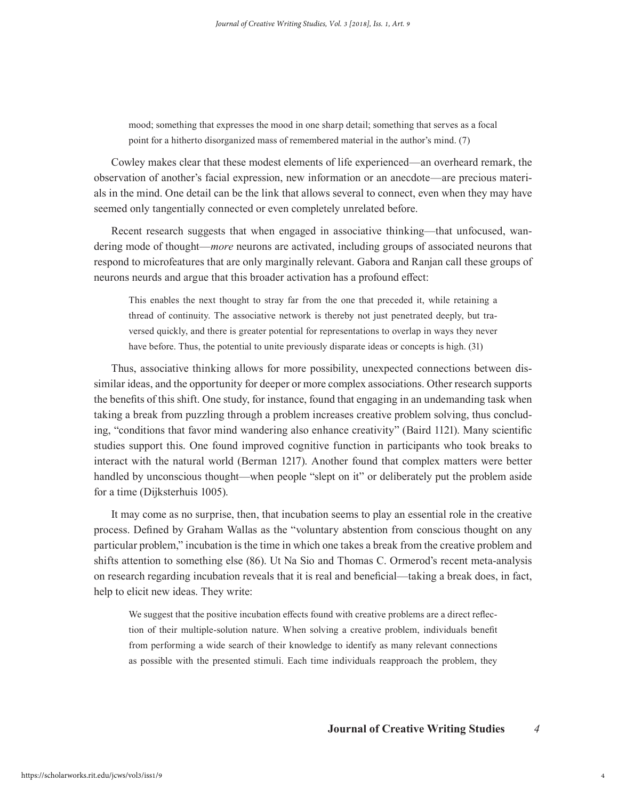mood; something that expresses the mood in one sharp detail; something that serves as a focal point for a hitherto disorganized mass of remembered material in the author's mind. (7)

Cowley makes clear that these modest elements of life experienced—an overheard remark, the observation of another's facial expression, new information or an anecdote—are precious materials in the mind. One detail can be the link that allows several to connect, even when they may have seemed only tangentially connected or even completely unrelated before.

Recent research suggests that when engaged in associative thinking—that unfocused, wandering mode of thought—*more* neurons are activated, including groups of associated neurons that respond to microfeatures that are only marginally relevant. Gabora and Ranjan call these groups of neurons neurds and argue that this broader activation has a profound effect:

This enables the next thought to stray far from the one that preceded it, while retaining a thread of continuity. The associative network is thereby not just penetrated deeply, but traversed quickly, and there is greater potential for representations to overlap in ways they never have before. Thus, the potential to unite previously disparate ideas or concepts is high. (31)

Thus, associative thinking allows for more possibility, unexpected connections between dissimilar ideas, and the opportunity for deeper or more complex associations. Other research supports the benefits of this shift. One study, for instance, found that engaging in an undemanding task when taking a break from puzzling through a problem increases creative problem solving, thus concluding, "conditions that favor mind wandering also enhance creativity" (Baird 1121). Many scientific studies support this. One found improved cognitive function in participants who took breaks to interact with the natural world (Berman 1217). Another found that complex matters were better handled by unconscious thought—when people "slept on it" or deliberately put the problem aside for a time (Dijksterhuis 1005).

It may come as no surprise, then, that incubation seems to play an essential role in the creative process. Defined by Graham Wallas as the "voluntary abstention from conscious thought on any particular problem," incubation is the time in which one takes a break from the creative problem and shifts attention to something else (86). Ut Na Sio and Thomas C. Ormerod's recent meta-analysis on research regarding incubation reveals that it is real and beneficial—taking a break does, in fact, help to elicit new ideas. They write:

We suggest that the positive incubation effects found with creative problems are a direct reflection of their multiple-solution nature. When solving a creative problem, individuals benefit from performing a wide search of their knowledge to identify as many relevant connections as possible with the presented stimuli. Each time individuals reapproach the problem, they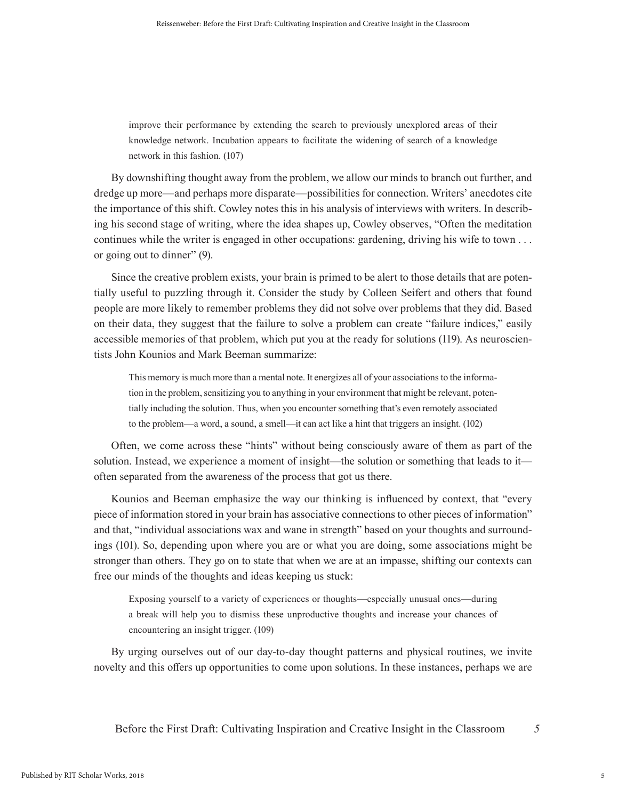improve their performance by extending the search to previously unexplored areas of their knowledge network. Incubation appears to facilitate the widening of search of a knowledge network in this fashion. (107)

By downshifting thought away from the problem, we allow our minds to branch out further, and dredge up more—and perhaps more disparate—possibilities for connection. Writers' anecdotes cite the importance of this shift. Cowley notes this in his analysis of interviews with writers. In describing his second stage of writing, where the idea shapes up, Cowley observes, "Often the meditation continues while the writer is engaged in other occupations: gardening, driving his wife to town . . . or going out to dinner" (9).

Since the creative problem exists, your brain is primed to be alert to those details that are potentially useful to puzzling through it. Consider the study by Colleen Seifert and others that found people are more likely to remember problems they did not solve over problems that they did. Based on their data, they suggest that the failure to solve a problem can create "failure indices," easily accessible memories of that problem, which put you at the ready for solutions (119). As neuroscientists John Kounios and Mark Beeman summarize:

This memory is much more than a mental note. It energizes all of your associations to the information in the problem, sensitizing you to anything in your environment that might be relevant, potentially including the solution. Thus, when you encounter something that's even remotely associated to the problem—a word, a sound, a smell—it can act like a hint that triggers an insight. (102)

Often, we come across these "hints" without being consciously aware of them as part of the solution. Instead, we experience a moment of insight—the solution or something that leads to it often separated from the awareness of the process that got us there.

Kounios and Beeman emphasize the way our thinking is influenced by context, that "every piece of information stored in your brain has associative connections to other pieces of information" and that, "individual associations wax and wane in strength" based on your thoughts and surroundings (101). So, depending upon where you are or what you are doing, some associations might be stronger than others. They go on to state that when we are at an impasse, shifting our contexts can free our minds of the thoughts and ideas keeping us stuck:

Exposing yourself to a variety of experiences or thoughts—especially unusual ones—during a break will help you to dismiss these unproductive thoughts and increase your chances of encountering an insight trigger. (109)

By urging ourselves out of our day-to-day thought patterns and physical routines, we invite novelty and this offers up opportunities to come upon solutions. In these instances, perhaps we are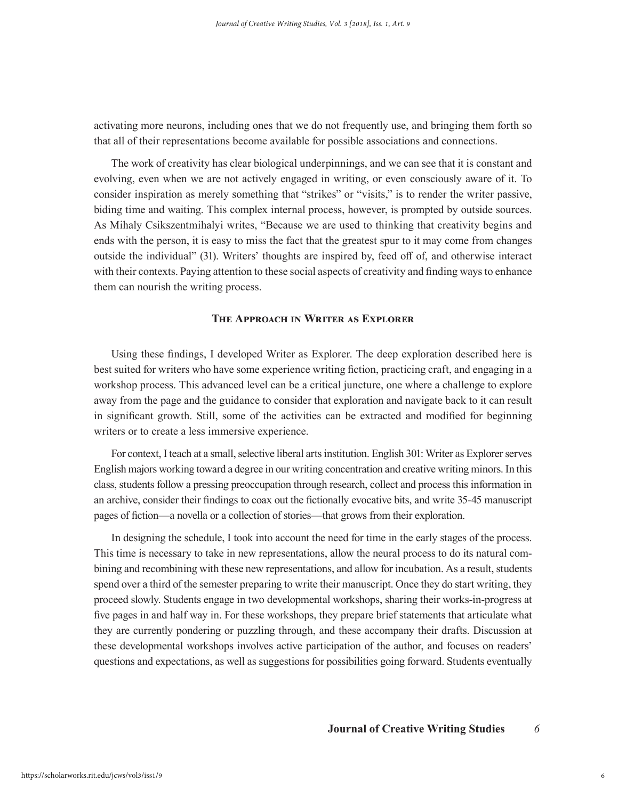activating more neurons, including ones that we do not frequently use, and bringing them forth so that all of their representations become available for possible associations and connections.

The work of creativity has clear biological underpinnings, and we can see that it is constant and evolving, even when we are not actively engaged in writing, or even consciously aware of it. To consider inspiration as merely something that "strikes" or "visits," is to render the writer passive, biding time and waiting. This complex internal process, however, is prompted by outside sources. As Mihaly Csikszentmihalyi writes, "Because we are used to thinking that creativity begins and ends with the person, it is easy to miss the fact that the greatest spur to it may come from changes outside the individual" (31). Writers' thoughts are inspired by, feed off of, and otherwise interact with their contexts. Paying attention to these social aspects of creativity and finding ways to enhance them can nourish the writing process.

# **The Approach in Writer as Explorer**

Using these findings, I developed Writer as Explorer. The deep exploration described here is best suited for writers who have some experience writing fiction, practicing craft, and engaging in a workshop process. This advanced level can be a critical juncture, one where a challenge to explore away from the page and the guidance to consider that exploration and navigate back to it can result in significant growth. Still, some of the activities can be extracted and modified for beginning writers or to create a less immersive experience.

For context, I teach at a small, selective liberal arts institution. English 301: Writer as Explorer serves English majors working toward a degree in our writing concentration and creative writing minors. In this class, students follow a pressing preoccupation through research, collect and process this information in an archive, consider their findings to coax out the fictionally evocative bits, and write 35-45 manuscript pages of fiction—a novella or a collection of stories—that grows from their exploration.

In designing the schedule, I took into account the need for time in the early stages of the process. This time is necessary to take in new representations, allow the neural process to do its natural combining and recombining with these new representations, and allow for incubation. As a result, students spend over a third of the semester preparing to write their manuscript. Once they do start writing, they proceed slowly. Students engage in two developmental workshops, sharing their works-in-progress at five pages in and half way in. For these workshops, they prepare brief statements that articulate what they are currently pondering or puzzling through, and these accompany their drafts. Discussion at these developmental workshops involves active participation of the author, and focuses on readers' questions and expectations, as well as suggestions for possibilities going forward. Students eventually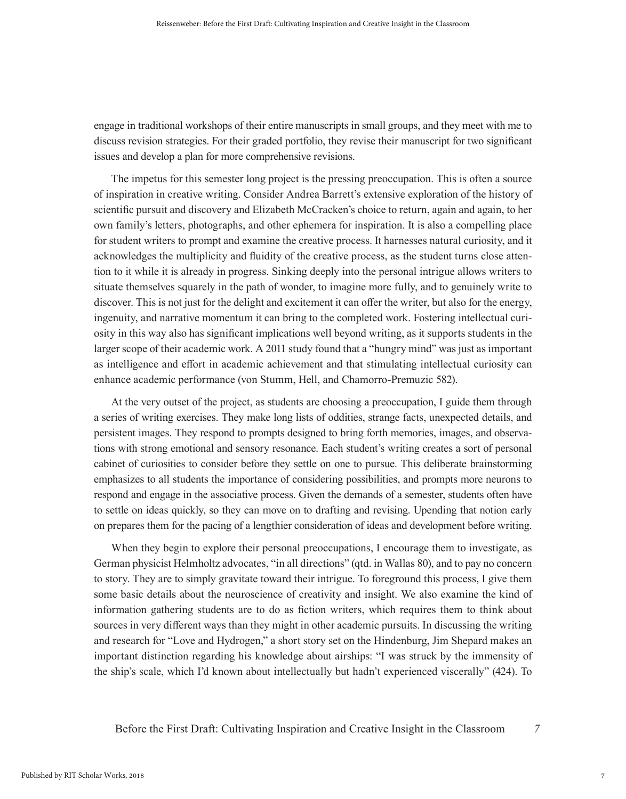engage in traditional workshops of their entire manuscripts in small groups, and they meet with me to discuss revision strategies. For their graded portfolio, they revise their manuscript for two significant issues and develop a plan for more comprehensive revisions.

The impetus for this semester long project is the pressing preoccupation. This is often a source of inspiration in creative writing. Consider Andrea Barrett's extensive exploration of the history of scientific pursuit and discovery and Elizabeth McCracken's choice to return, again and again, to her own family's letters, photographs, and other ephemera for inspiration. It is also a compelling place for student writers to prompt and examine the creative process. It harnesses natural curiosity, and it acknowledges the multiplicity and fluidity of the creative process, as the student turns close attention to it while it is already in progress. Sinking deeply into the personal intrigue allows writers to situate themselves squarely in the path of wonder, to imagine more fully, and to genuinely write to discover. This is not just for the delight and excitement it can offer the writer, but also for the energy, ingenuity, and narrative momentum it can bring to the completed work. Fostering intellectual curiosity in this way also has significant implications well beyond writing, as it supports students in the larger scope of their academic work. A 2011 study found that a "hungry mind" was just as important as intelligence and effort in academic achievement and that stimulating intellectual curiosity can enhance academic performance (von Stumm, Hell, and Chamorro-Premuzic 582).

At the very outset of the project, as students are choosing a preoccupation, I guide them through a series of writing exercises. They make long lists of oddities, strange facts, unexpected details, and persistent images. They respond to prompts designed to bring forth memories, images, and observations with strong emotional and sensory resonance. Each student's writing creates a sort of personal cabinet of curiosities to consider before they settle on one to pursue. This deliberate brainstorming emphasizes to all students the importance of considering possibilities, and prompts more neurons to respond and engage in the associative process. Given the demands of a semester, students often have to settle on ideas quickly, so they can move on to drafting and revising. Upending that notion early on prepares them for the pacing of a lengthier consideration of ideas and development before writing.

When they begin to explore their personal preoccupations, I encourage them to investigate, as German physicist Helmholtz advocates, "in all directions" (qtd. in Wallas 80), and to pay no concern to story. They are to simply gravitate toward their intrigue. To foreground this process, I give them some basic details about the neuroscience of creativity and insight. We also examine the kind of information gathering students are to do as fiction writers, which requires them to think about sources in very different ways than they might in other academic pursuits. In discussing the writing and research for "Love and Hydrogen," a short story set on the Hindenburg, Jim Shepard makes an important distinction regarding his knowledge about airships: "I was struck by the immensity of the ship's scale, which I'd known about intellectually but hadn't experienced viscerally" (424). To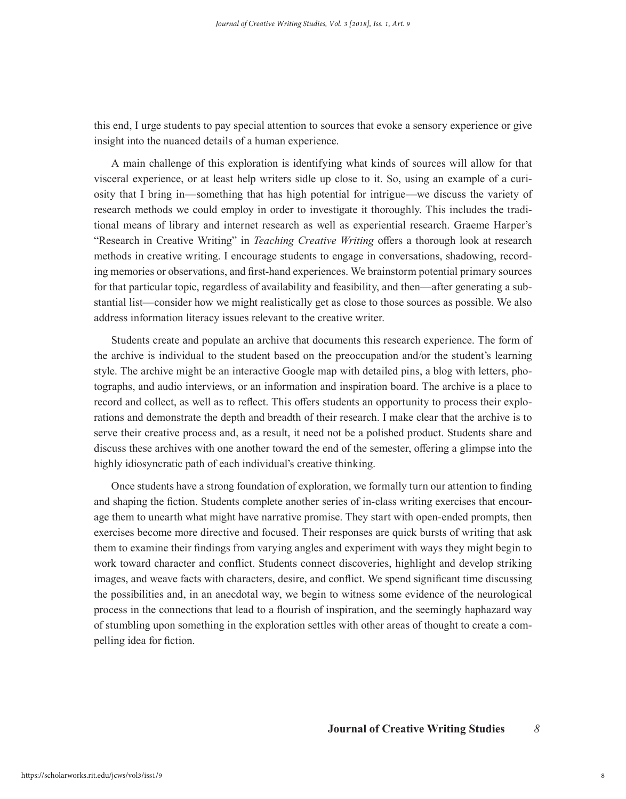this end, I urge students to pay special attention to sources that evoke a sensory experience or give insight into the nuanced details of a human experience.

A main challenge of this exploration is identifying what kinds of sources will allow for that visceral experience, or at least help writers sidle up close to it. So, using an example of a curiosity that I bring in—something that has high potential for intrigue—we discuss the variety of research methods we could employ in order to investigate it thoroughly. This includes the traditional means of library and internet research as well as experiential research. Graeme Harper's "Research in Creative Writing" in *Teaching Creative Writing* offers a thorough look at research methods in creative writing. I encourage students to engage in conversations, shadowing, recording memories or observations, and first-hand experiences. We brainstorm potential primary sources for that particular topic, regardless of availability and feasibility, and then—after generating a substantial list—consider how we might realistically get as close to those sources as possible. We also address information literacy issues relevant to the creative writer.

Students create and populate an archive that documents this research experience. The form of the archive is individual to the student based on the preoccupation and/or the student's learning style. The archive might be an interactive Google map with detailed pins, a blog with letters, photographs, and audio interviews, or an information and inspiration board. The archive is a place to record and collect, as well as to reflect. This offers students an opportunity to process their explorations and demonstrate the depth and breadth of their research. I make clear that the archive is to serve their creative process and, as a result, it need not be a polished product. Students share and discuss these archives with one another toward the end of the semester, offering a glimpse into the highly idiosyncratic path of each individual's creative thinking.

Once students have a strong foundation of exploration, we formally turn our attention to finding and shaping the fiction. Students complete another series of in-class writing exercises that encourage them to unearth what might have narrative promise. They start with open-ended prompts, then exercises become more directive and focused. Their responses are quick bursts of writing that ask them to examine their findings from varying angles and experiment with ways they might begin to work toward character and conflict. Students connect discoveries, highlight and develop striking images, and weave facts with characters, desire, and conflict. We spend significant time discussing the possibilities and, in an anecdotal way, we begin to witness some evidence of the neurological process in the connections that lead to a flourish of inspiration, and the seemingly haphazard way of stumbling upon something in the exploration settles with other areas of thought to create a compelling idea for fiction.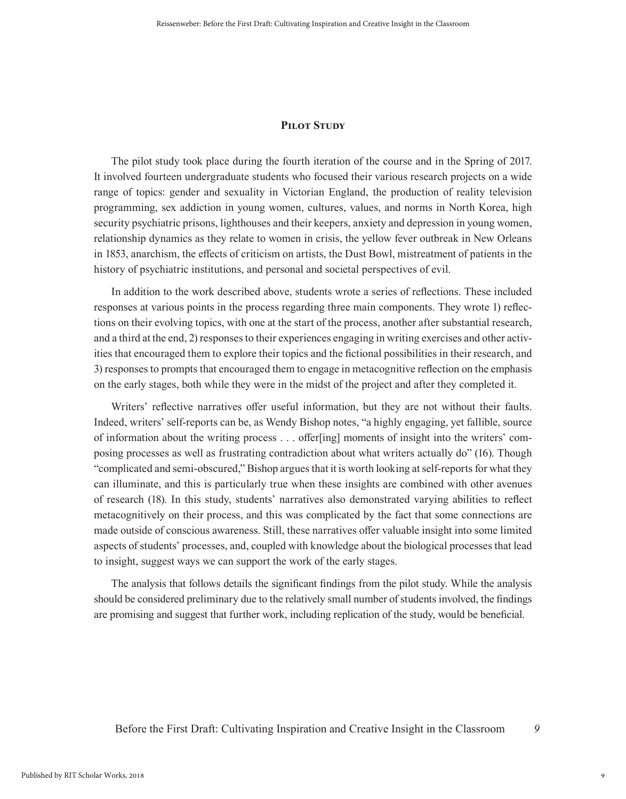## **PILOT STUDY**

The pilot study took place during the fourth iteration of the course and in the Spring of 2017. It involved fourteen undergraduate students who focused their various research projects on a wide range of topics: gender and sexuality in Victorian England, the production of reality television programming, sex addiction in young women, cultures, values, and norms in North Korea, high security psychiatric prisons, lighthouses and their keepers, anxiety and depression in young women, relationship dynamics as they relate to women in crisis, the yellow fever outbreak in New Orleans in 1853, anarchism, the effects of criticism on artists, the Dust Bowl, mistreatment of patients in the history of psychiatric institutions, and personal and societal perspectives of evil.

In addition to the work described above, students wrote a series of reflections. These included responses at various points in the process regarding three main components. They wrote 1) reflections on their evolving topics, with one at the start of the process, another after substantial research, and a third at the end, 2) responses to their experiences engaging in writing exercises and other activities that encouraged them to explore their topics and the fictional possibilities in their research, and 3) responses to prompts that encouraged them to engage in metacognitive reflection on the emphasis on the early stages, both while they were in the midst of the project and after they completed it.

Writers' reflective narratives offer useful information, but they are not without their faults. Indeed, writers' self-reports can be, as Wendy Bishop notes, "a highly engaging, yet fallible, source of information about the writing process . . . offer[ing] moments of insight into the writers' composing processes as well as frustrating contradiction about what writers actually do" (16). Though "complicated and semi-obscured," Bishop argues that it is worth looking at self-reports for what they can illuminate, and this is particularly true when these insights are combined with other avenues of research (18). In this study, students' narratives also demonstrated varying abilities to reflect metacognitively on their process, and this was complicated by the fact that some connections are made outside of conscious awareness. Still, these narratives offer valuable insight into some limited aspects of students' processes, and, coupled with knowledge about the biological processes that lead to insight, suggest ways we can support the work of the early stages.

The analysis that follows details the significant findings from the pilot study. While the analysis should be considered preliminary due to the relatively small number of students involved, the findings are promising and suggest that further work, including replication of the study, would be beneficial.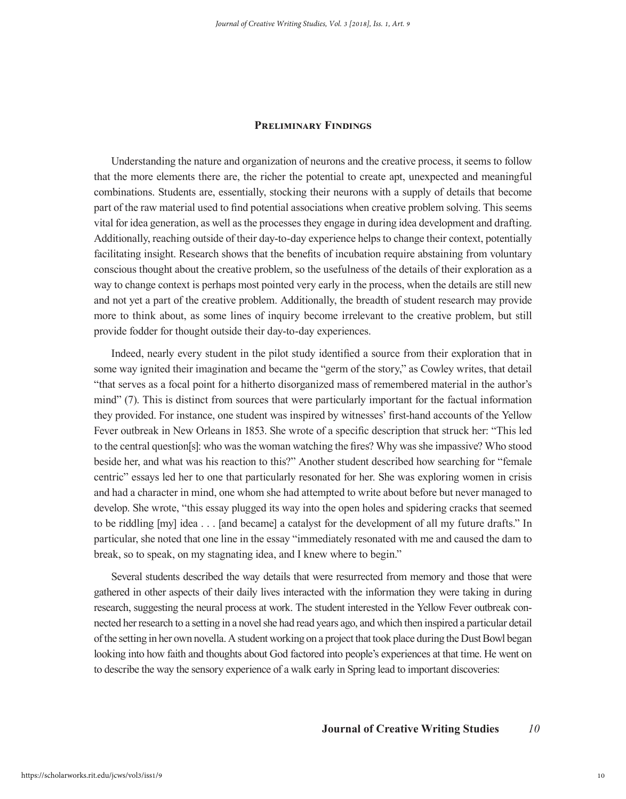# **Preliminary Findings**

Understanding the nature and organization of neurons and the creative process, it seems to follow that the more elements there are, the richer the potential to create apt, unexpected and meaningful combinations. Students are, essentially, stocking their neurons with a supply of details that become part of the raw material used to find potential associations when creative problem solving. This seems vital for idea generation, as well as the processes they engage in during idea development and drafting. Additionally, reaching outside of their day-to-day experience helps to change their context, potentially facilitating insight. Research shows that the benefits of incubation require abstaining from voluntary conscious thought about the creative problem, so the usefulness of the details of their exploration as a way to change context is perhaps most pointed very early in the process, when the details are still new and not yet a part of the creative problem. Additionally, the breadth of student research may provide more to think about, as some lines of inquiry become irrelevant to the creative problem, but still provide fodder for thought outside their day-to-day experiences.

Indeed, nearly every student in the pilot study identified a source from their exploration that in some way ignited their imagination and became the "germ of the story," as Cowley writes, that detail "that serves as a focal point for a hitherto disorganized mass of remembered material in the author's mind" (7). This is distinct from sources that were particularly important for the factual information they provided. For instance, one student was inspired by witnesses' first-hand accounts of the Yellow Fever outbreak in New Orleans in 1853. She wrote of a specific description that struck her: "This led to the central question[s]: who was the woman watching the fires? Why was she impassive? Who stood beside her, and what was his reaction to this?" Another student described how searching for "female centric" essays led her to one that particularly resonated for her. She was exploring women in crisis and had a character in mind, one whom she had attempted to write about before but never managed to develop. She wrote, "this essay plugged its way into the open holes and spidering cracks that seemed to be riddling [my] idea . . . [and became] a catalyst for the development of all my future drafts." In particular, she noted that one line in the essay "immediately resonated with me and caused the dam to break, so to speak, on my stagnating idea, and I knew where to begin."

Several students described the way details that were resurrected from memory and those that were gathered in other aspects of their daily lives interacted with the information they were taking in during research, suggesting the neural process at work. The student interested in the Yellow Fever outbreak connected her research to a setting in a novel she had read years ago, and which then inspired a particular detail of the setting in her own novella. A student working on a project that took place during the Dust Bowl began looking into how faith and thoughts about God factored into people's experiences at that time. He went on to describe the way the sensory experience of a walk early in Spring lead to important discoveries: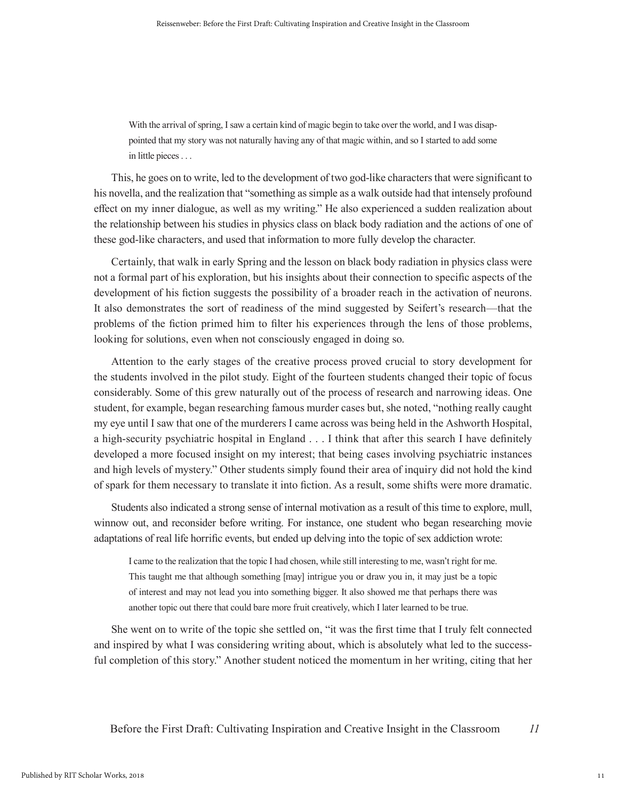With the arrival of spring, I saw a certain kind of magic begin to take over the world, and I was disappointed that my story was not naturally having any of that magic within, and so I started to add some in little pieces . . .

This, he goes on to write, led to the development of two god-like characters that were significant to his novella, and the realization that "something as simple as a walk outside had that intensely profound effect on my inner dialogue, as well as my writing." He also experienced a sudden realization about the relationship between his studies in physics class on black body radiation and the actions of one of these god-like characters, and used that information to more fully develop the character.

Certainly, that walk in early Spring and the lesson on black body radiation in physics class were not a formal part of his exploration, but his insights about their connection to specific aspects of the development of his fiction suggests the possibility of a broader reach in the activation of neurons. It also demonstrates the sort of readiness of the mind suggested by Seifert's research—that the problems of the fiction primed him to filter his experiences through the lens of those problems, looking for solutions, even when not consciously engaged in doing so.

Attention to the early stages of the creative process proved crucial to story development for the students involved in the pilot study. Eight of the fourteen students changed their topic of focus considerably. Some of this grew naturally out of the process of research and narrowing ideas. One student, for example, began researching famous murder cases but, she noted, "nothing really caught my eye until I saw that one of the murderers I came across was being held in the Ashworth Hospital, a high-security psychiatric hospital in England . . . I think that after this search I have definitely developed a more focused insight on my interest; that being cases involving psychiatric instances and high levels of mystery." Other students simply found their area of inquiry did not hold the kind of spark for them necessary to translate it into fiction. As a result, some shifts were more dramatic.

Students also indicated a strong sense of internal motivation as a result of this time to explore, mull, winnow out, and reconsider before writing. For instance, one student who began researching movie adaptations of real life horrific events, but ended up delving into the topic of sex addiction wrote:

I came to the realization that the topic I had chosen, while still interesting to me, wasn't right for me. This taught me that although something [may] intrigue you or draw you in, it may just be a topic of interest and may not lead you into something bigger. It also showed me that perhaps there was another topic out there that could bare more fruit creatively, which I later learned to be true.

She went on to write of the topic she settled on, "it was the first time that I truly felt connected and inspired by what I was considering writing about, which is absolutely what led to the successful completion of this story." Another student noticed the momentum in her writing, citing that her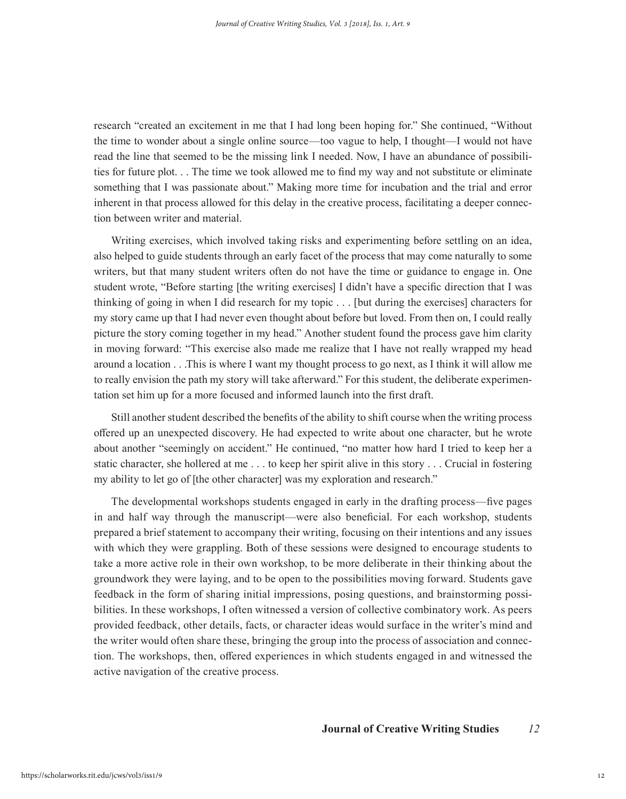research "created an excitement in me that I had long been hoping for." She continued, "Without the time to wonder about a single online source—too vague to help, I thought—I would not have read the line that seemed to be the missing link I needed. Now, I have an abundance of possibilities for future plot. . . The time we took allowed me to find my way and not substitute or eliminate something that I was passionate about." Making more time for incubation and the trial and error inherent in that process allowed for this delay in the creative process, facilitating a deeper connection between writer and material.

Writing exercises, which involved taking risks and experimenting before settling on an idea, also helped to guide students through an early facet of the process that may come naturally to some writers, but that many student writers often do not have the time or guidance to engage in. One student wrote, "Before starting [the writing exercises] I didn't have a specific direction that I was thinking of going in when I did research for my topic . . . [but during the exercises] characters for my story came up that I had never even thought about before but loved. From then on, I could really picture the story coming together in my head." Another student found the process gave him clarity in moving forward: "This exercise also made me realize that I have not really wrapped my head around a location . . .This is where I want my thought process to go next, as I think it will allow me to really envision the path my story will take afterward." For this student, the deliberate experimentation set him up for a more focused and informed launch into the first draft.

Still another student described the benefits of the ability to shift course when the writing process offered up an unexpected discovery. He had expected to write about one character, but he wrote about another "seemingly on accident." He continued, "no matter how hard I tried to keep her a static character, she hollered at me . . . to keep her spirit alive in this story . . . Crucial in fostering my ability to let go of [the other character] was my exploration and research."

The developmental workshops students engaged in early in the drafting process—five pages in and half way through the manuscript—were also beneficial. For each workshop, students prepared a brief statement to accompany their writing, focusing on their intentions and any issues with which they were grappling. Both of these sessions were designed to encourage students to take a more active role in their own workshop, to be more deliberate in their thinking about the groundwork they were laying, and to be open to the possibilities moving forward. Students gave feedback in the form of sharing initial impressions, posing questions, and brainstorming possibilities. In these workshops, I often witnessed a version of collective combinatory work. As peers provided feedback, other details, facts, or character ideas would surface in the writer's mind and the writer would often share these, bringing the group into the process of association and connection. The workshops, then, offered experiences in which students engaged in and witnessed the active navigation of the creative process.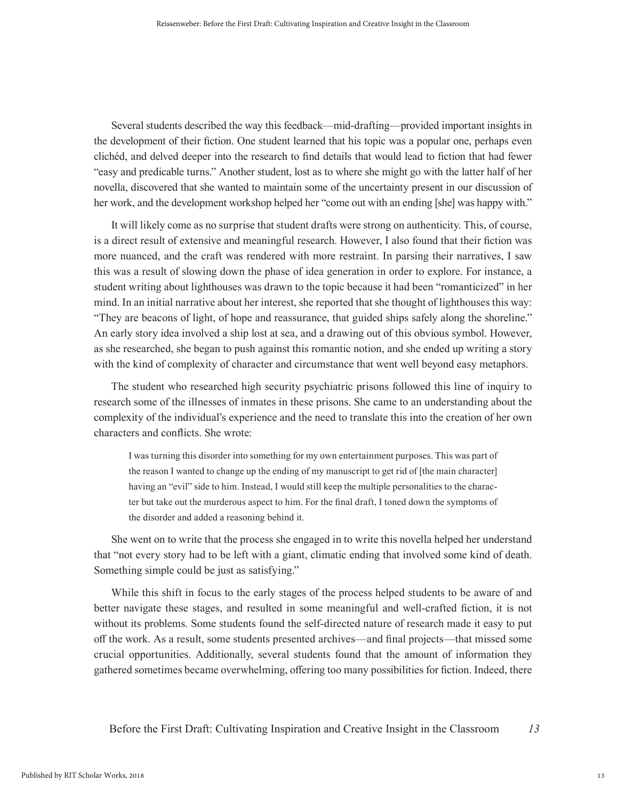Several students described the way this feedback—mid-drafting—provided important insights in the development of their fiction. One student learned that his topic was a popular one, perhaps even clichéd, and delved deeper into the research to find details that would lead to fiction that had fewer "easy and predicable turns." Another student, lost as to where she might go with the latter half of her novella, discovered that she wanted to maintain some of the uncertainty present in our discussion of her work, and the development workshop helped her "come out with an ending [she] was happy with."

It will likely come as no surprise that student drafts were strong on authenticity. This, of course, is a direct result of extensive and meaningful research. However, I also found that their fiction was more nuanced, and the craft was rendered with more restraint. In parsing their narratives, I saw this was a result of slowing down the phase of idea generation in order to explore. For instance, a student writing about lighthouses was drawn to the topic because it had been "romanticized" in her mind. In an initial narrative about her interest, she reported that she thought of lighthouses this way: "They are beacons of light, of hope and reassurance, that guided ships safely along the shoreline." An early story idea involved a ship lost at sea, and a drawing out of this obvious symbol. However, as she researched, she began to push against this romantic notion, and she ended up writing a story with the kind of complexity of character and circumstance that went well beyond easy metaphors.

The student who researched high security psychiatric prisons followed this line of inquiry to research some of the illnesses of inmates in these prisons. She came to an understanding about the complexity of the individual's experience and the need to translate this into the creation of her own characters and conflicts. She wrote:

I was turning this disorder into something for my own entertainment purposes. This was part of the reason I wanted to change up the ending of my manuscript to get rid of [the main character] having an "evil" side to him. Instead, I would still keep the multiple personalities to the character but take out the murderous aspect to him. For the final draft, I toned down the symptoms of the disorder and added a reasoning behind it.

She went on to write that the process she engaged in to write this novella helped her understand that "not every story had to be left with a giant, climatic ending that involved some kind of death. Something simple could be just as satisfying."

While this shift in focus to the early stages of the process helped students to be aware of and better navigate these stages, and resulted in some meaningful and well-crafted fiction, it is not without its problems. Some students found the self-directed nature of research made it easy to put off the work. As a result, some students presented archives—and final projects—that missed some crucial opportunities. Additionally, several students found that the amount of information they gathered sometimes became overwhelming, offering too many possibilities for fiction. Indeed, there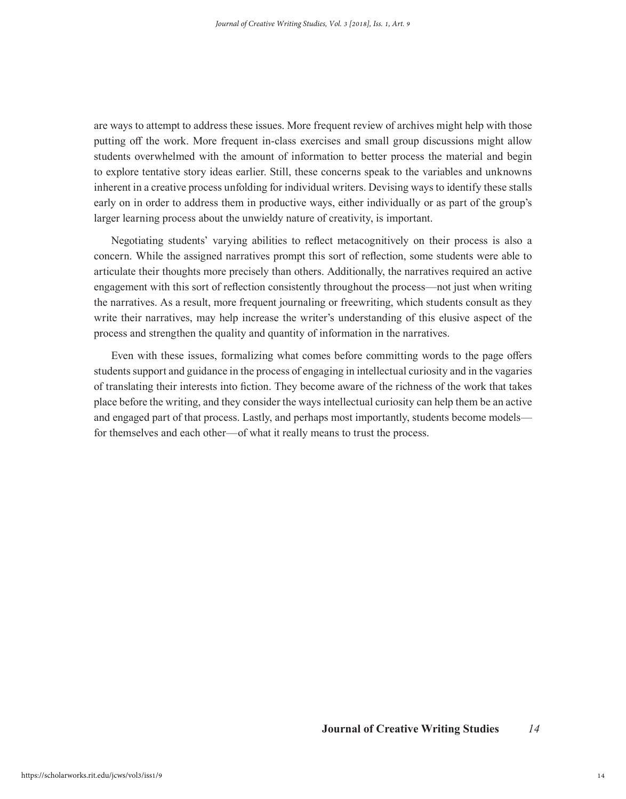are ways to attempt to address these issues. More frequent review of archives might help with those putting off the work. More frequent in-class exercises and small group discussions might allow students overwhelmed with the amount of information to better process the material and begin to explore tentative story ideas earlier. Still, these concerns speak to the variables and unknowns inherent in a creative process unfolding for individual writers. Devising ways to identify these stalls early on in order to address them in productive ways, either individually or as part of the group's larger learning process about the unwieldy nature of creativity, is important.

Negotiating students' varying abilities to reflect metacognitively on their process is also a concern. While the assigned narratives prompt this sort of reflection, some students were able to articulate their thoughts more precisely than others. Additionally, the narratives required an active engagement with this sort of reflection consistently throughout the process—not just when writing the narratives. As a result, more frequent journaling or freewriting, which students consult as they write their narratives, may help increase the writer's understanding of this elusive aspect of the process and strengthen the quality and quantity of information in the narratives.

Even with these issues, formalizing what comes before committing words to the page offers students support and guidance in the process of engaging in intellectual curiosity and in the vagaries of translating their interests into fiction. They become aware of the richness of the work that takes place before the writing, and they consider the ways intellectual curiosity can help them be an active and engaged part of that process. Lastly, and perhaps most importantly, students become models for themselves and each other—of what it really means to trust the process.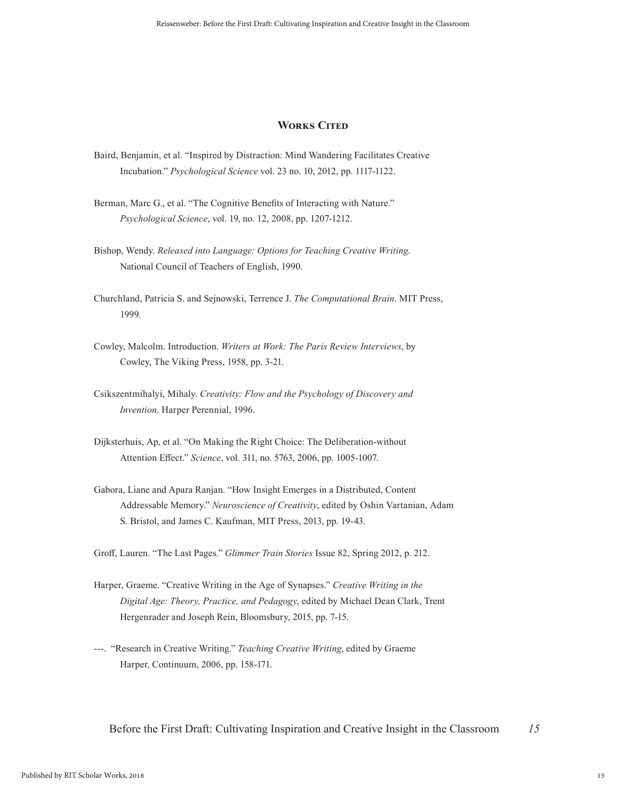## **WORKS CITED**

- Baird, Benjamin, et al. "Inspired by Distraction: Mind Wandering Facilitates Creative Incubation." *Psychological Science* vol. 23 no. 10, 2012, pp. 1117-1122.
- Berman, Marc G., et al. "The Cognitive Benefits of Interacting with Nature." *Psychological Science*, vol. 19, no. 12, 2008, pp. 1207-1212.
- Bishop, Wendy. *Released into Language: Options for Teaching Creative Writing*. National Council of Teachers of English, 1990.
- Churchland, Patricia S. and Sejnowski, Terrence J. *The Computational Brain*. MIT Press, 1999.
- Cowley, Malcolm. Introduction. *Writers at Work: The Paris Review Interviews*, by Cowley, The Viking Press, 1958, pp. 3-21.
- Csikszentmihalyi, Mihaly. *Creativity: Flow and the Psychology of Discovery and Invention*. Harper Perennial, 1996.
- Dijksterhuis, Ap, et al. "On Making the Right Choice: The Deliberation-without Attention Effect." *Science*, vol. 311, no. 5763, 2006, pp. 1005-1007.
- Gabora, Liane and Apara Ranjan. "How Insight Emerges in a Distributed, Content Addressable Memory." *Neuroscience of Creativity*, edited by Oshin Vartanian, Adam S. Bristol, and James C. Kaufman, MIT Press, 2013, pp. 19-43.

Groff, Lauren. "The Last Pages." *Glimmer Train Stories* Issue 82, Spring 2012, p. 212.

- Harper, Graeme. "Creative Writing in the Age of Synapses." *Creative Writing in the Digital Age: Theory, Practice, and Pedagogy*, edited by Michael Dean Clark, Trent Hergenrader and Joseph Rein, Bloomsbury, 2015, pp. 7-15.
- ---. "Research in Creative Writing." *Teaching Creative Writing*, edited by Graeme Harper, Continuum, 2006, pp. 158-171.

Before the First Draft: Cultivating Inspiration and Creative Insight in the Classroom *15*